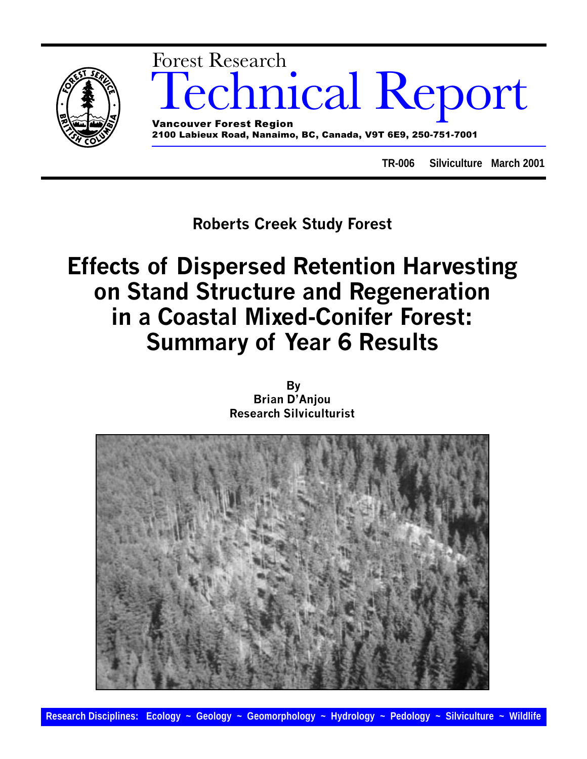

**TR-006 Silviculture March 2001**

Roberts Creek Study Forest

# Effects of Dispersed Retention Harvesting on Stand Structure and Regeneration in a Coastal Mixed-Conifer Forest: Summary of Year 6 Results

By **Brian D'Anjou** Research Silviculturist

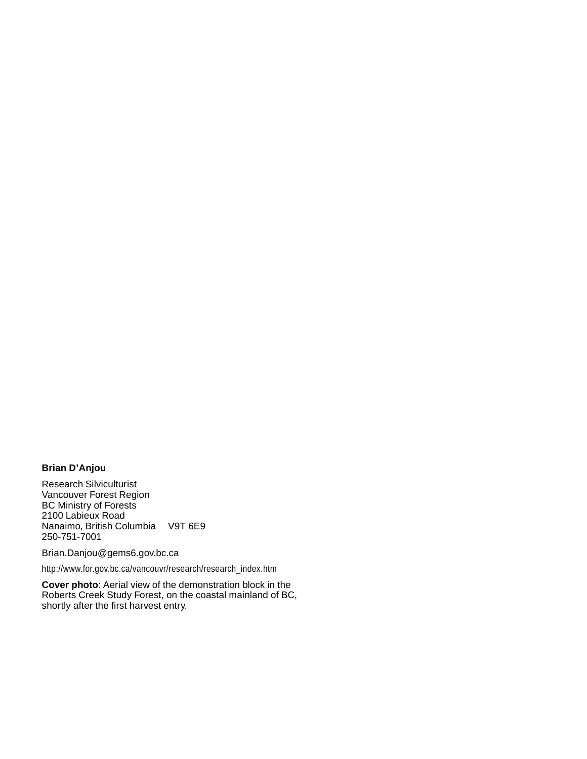#### **Brian D'Anjou**

Research Silviculturist Vancouver Forest Region BC Ministry of Forests 2100 Labieux Road Nanaimo, British Columbia V9T 6E9 250-751-7001

Brian.Danjou@gems6.gov.bc.ca

http://www.for.gov.bc.ca/vancouvr/research/research\_index.htm

**Cover photo**: Aerial view of the demonstration block in the Roberts Creek Study Forest, on the coastal mainland of BC, shortly after the first harvest entry.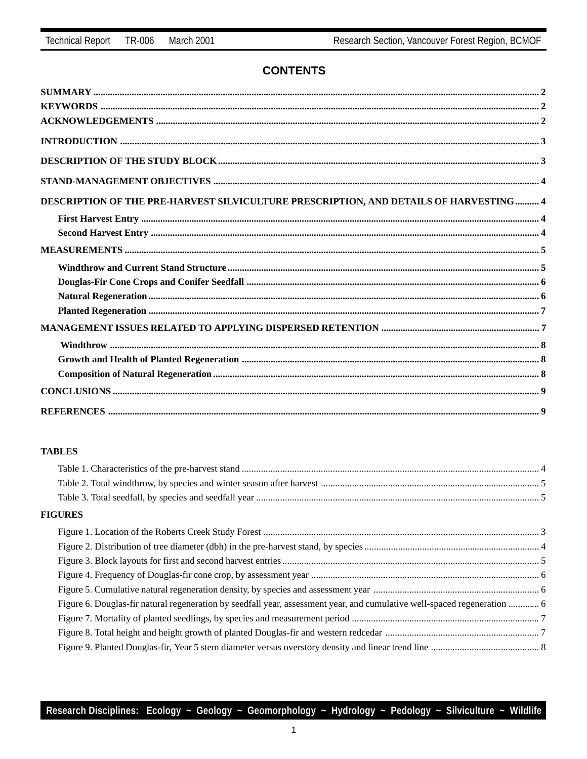### **CONTENTS**

| DESCRIPTION OF THE PRE-HARVEST SILVICULTURE PRESCRIPTION, AND DETAILS OF HARVESTING  4 |  |
|----------------------------------------------------------------------------------------|--|
|                                                                                        |  |
|                                                                                        |  |
|                                                                                        |  |
|                                                                                        |  |
|                                                                                        |  |
|                                                                                        |  |
|                                                                                        |  |
|                                                                                        |  |
|                                                                                        |  |
|                                                                                        |  |
|                                                                                        |  |
|                                                                                        |  |
|                                                                                        |  |

#### **TABLES**

#### **FIGURES**

| Figure 6. Douglas-fir natural regeneration by seedfall year, assessment year, and cumulative well-spaced regeneration  6 |  |
|--------------------------------------------------------------------------------------------------------------------------|--|
|                                                                                                                          |  |
|                                                                                                                          |  |
|                                                                                                                          |  |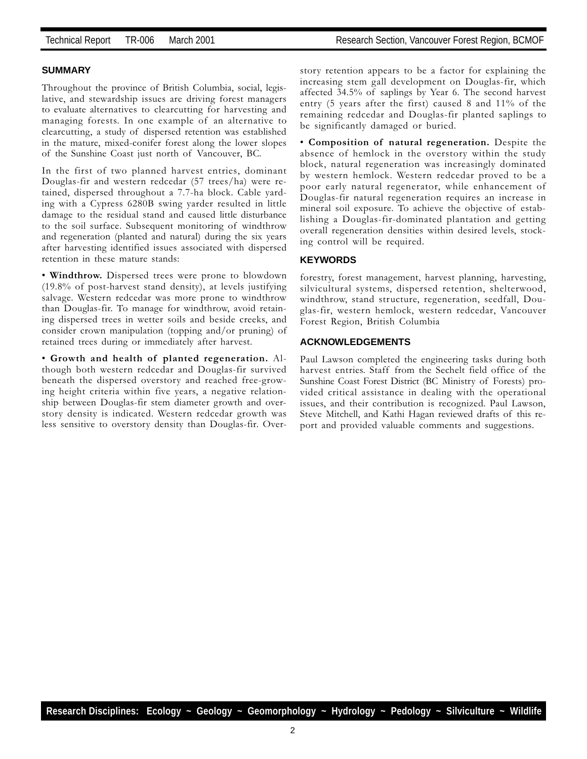#### **SUMMARY**

Throughout the province of British Columbia, social, legislative, and stewardship issues are driving forest managers to evaluate alternatives to clearcutting for harvesting and managing forests. In one example of an alternative to clearcutting, a study of dispersed retention was established in the mature, mixed-conifer forest along the lower slopes of the Sunshine Coast just north of Vancouver, BC.

In the first of two planned harvest entries, dominant Douglas-fir and western redcedar (57 trees/ha) were retained, dispersed throughout a 7.7-ha block. Cable yarding with a Cypress 6280B swing yarder resulted in little damage to the residual stand and caused little disturbance to the soil surface. Subsequent monitoring of windthrow and regeneration (planted and natural) during the six years after harvesting identified issues associated with dispersed retention in these mature stands:

 Windthrow. Dispersed trees were prone to blowdown (19.8% of post-harvest stand density), at levels justifying salvage. Western redcedar was more prone to windthrow than Douglas-fir. To manage for windthrow, avoid retaining dispersed trees in wetter soils and beside creeks, and consider crown manipulation (topping and/or pruning) of retained trees during or immediately after harvest.

 Growth and health of planted regeneration. Although both western redcedar and Douglas-fir survived beneath the dispersed overstory and reached free-growing height criteria within five years, a negative relationship between Douglas-fir stem diameter growth and overstory density is indicated. Western redcedar growth was less sensitive to overstory density than Douglas-fir. Overstory retention appears to be a factor for explaining the increasing stem gall development on Douglas-fir, which affected 34.5% of saplings by Year 6. The second harvest entry (5 years after the first) caused 8 and 11% of the remaining redcedar and Douglas-fir planted saplings to be significantly damaged or buried.

 Composition of natural regeneration. Despite the absence of hemlock in the overstory within the study block, natural regeneration was increasingly dominated by western hemlock. Western redcedar proved to be a poor early natural regenerator, while enhancement of Douglas-fir natural regeneration requires an increase in mineral soil exposure. To achieve the objective of establishing a Douglas-fir-dominated plantation and getting overall regeneration densities within desired levels, stocking control will be required.

#### **KEYWORDS**

forestry, forest management, harvest planning, harvesting, silvicultural systems, dispersed retention, shelterwood, windthrow, stand structure, regeneration, seedfall, Douglas-fir, western hemlock, western redcedar, Vancouver Forest Region, British Columbia

#### **ACKNOWLEDGEMENTS**

Paul Lawson completed the engineering tasks during both harvest entries. Staff from the Sechelt field office of the Sunshine Coast Forest District (BC Ministry of Forests) provided critical assistance in dealing with the operational issues, and their contribution is recognized. Paul Lawson, Steve Mitchell, and Kathi Hagan reviewed drafts of this report and provided valuable comments and suggestions.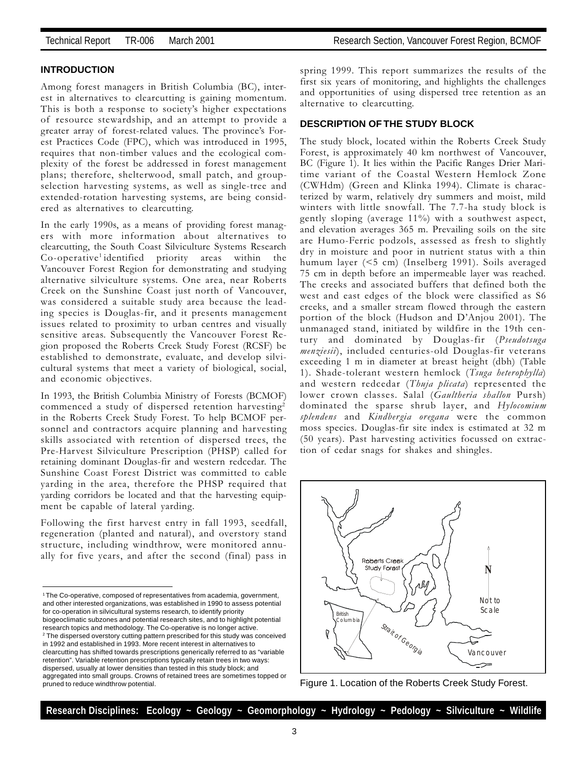#### **INTRODUCTION**

Among forest managers in British Columbia (BC), interest in alternatives to clearcutting is gaining momentum. This is both a response to society's higher expectations of resource stewardship, and an attempt to provide a greater array of forest-related values. The province's Forest Practices Code (FPC), which was introduced in 1995, requires that non-timber values and the ecological complexity of the forest be addressed in forest management plans; therefore, shelterwood, small patch, and groupselection harvesting systems, as well as single-tree and extended-rotation harvesting systems, are being considered as alternatives to clearcutting.

In the early 1990s, as a means of providing forest managers with more information about alternatives to clearcutting, the South Coast Silviculture Systems Research Co-operative<sup>1</sup> identified priority areas within the Vancouver Forest Region for demonstrating and studying alternative silviculture systems. One area, near Roberts Creek on the Sunshine Coast just north of Vancouver, was considered a suitable study area because the leading species is Douglas-fir, and it presents management issues related to proximity to urban centres and visually sensitive areas. Subsequently the Vancouver Forest Region proposed the Roberts Creek Study Forest (RCSF) be established to demonstrate, evaluate, and develop silvicultural systems that meet a variety of biological, social, and economic objectives.

In 1993, the British Columbia Ministry of Forests (BCMOF) commenced a study of dispersed retention harvesting<sup>2</sup> in the Roberts Creek Study Forest. To help BCMOF personnel and contractors acquire planning and harvesting skills associated with retention of dispersed trees, the Pre-Harvest Silviculture Prescription (PHSP) called for retaining dominant Douglas-fir and western redcedar. The Sunshine Coast Forest District was committed to cable yarding in the area, therefore the PHSP required that yarding corridors be located and that the harvesting equipment be capable of lateral yarding.

Following the first harvest entry in fall 1993, seedfall, regeneration (planted and natural), and overstory stand structure, including windthrow, were monitored annually for five years, and after the second (final) pass in spring 1999. This report summarizes the results of the first six years of monitoring, and highlights the challenges and opportunities of using dispersed tree retention as an alternative to clearcutting.

#### **DESCRIPTION OF THE STUDY BLOCK**

The study block, located within the Roberts Creek Study Forest, is approximately 40 km northwest of Vancouver, BC (Figure 1). It lies within the Pacific Ranges Drier Maritime variant of the Coastal Western Hemlock Zone (CWHdm) (Green and Klinka 1994). Climate is characterized by warm, relatively dry summers and moist, mild winters with little snowfall. The 7.7-ha study block is gently sloping (average 11%) with a southwest aspect, and elevation averages 365 m. Prevailing soils on the site are Humo-Ferric podzols, assessed as fresh to slightly dry in moisture and poor in nutrient status with a thin humum layer (<5 cm) (Inselberg 1991). Soils averaged 75 cm in depth before an impermeable layer was reached. The creeks and associated buffers that defined both the west and east edges of the block were classified as S6 creeks, and a smaller stream flowed through the eastern portion of the block (Hudson and D'Anjou 2001). The unmanaged stand, initiated by wildfire in the 19th century and dominated by Douglas-fir (Pseudotsuga menziesii), included centuries-old Douglas-fir veterans exceeding 1 m in diameter at breast height (dbh) (Table 1). Shade-tolerant western hemlock (Tsuga heterophylla) and western redcedar (Thuja plicata) represented the lower crown classes. Salal (Gaultheria shallon Pursh) dominated the sparse shrub layer, and Hylocomium splendens and Kindbergia oregana were the common moss species. Douglas-fir site index is estimated at 32 m (50 years). Past harvesting activities focussed on extraction of cedar snags for shakes and shingles.



Figure 1. Location of the Roberts Creek Study Forest.

<sup>1</sup> The Co-operative, composed of representatives from academia, government, and other interested organizations, was established in 1990 to assess potential for co-operation in silvicultural systems research, to identify priority biogeoclimatic subzones and potential research sites, and to highlight potential research topics and methodology. The Co-operative is no longer active. <sup>2</sup> The dispersed overstory cutting pattern prescribed for this study was conceived in 1992 and established in 1993. More recent interest in alternatives to clearcutting has shifted towards prescriptions generically referred to as "variable retention". Variable retention prescriptions typically retain trees in two ways: dispersed, usually at lower densities than tested in this study block; and aggregated into small groups. Crowns of retained trees are sometimes topped or pruned to reduce windthrow potential.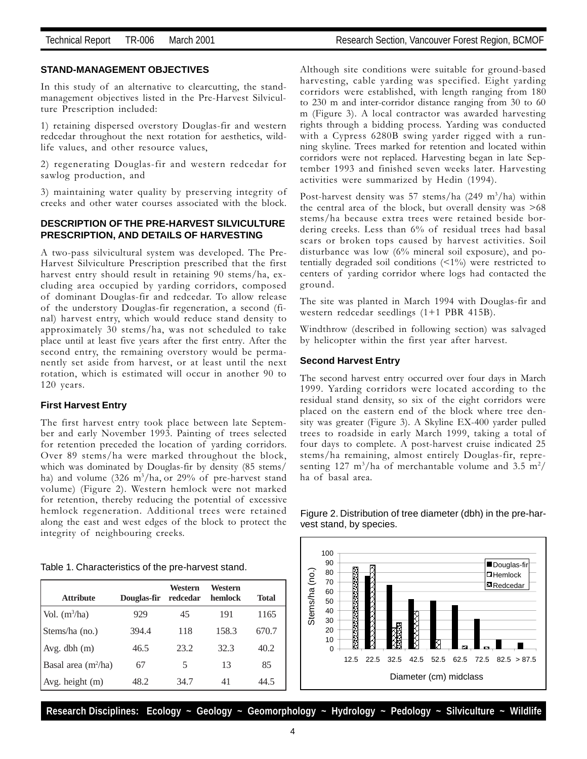#### **STAND-MANAGEMENT OBJECTIVES**

In this study of an alternative to clearcutting, the standmanagement objectives listed in the Pre-Harvest Silviculture Prescription included:

1) retaining dispersed overstory Douglas-fir and western redcedar throughout the next rotation for aesthetics, wildlife values, and other resource values,

2) regenerating Douglas-fir and western redcedar for sawlog production, and

3) maintaining water quality by preserving integrity of creeks and other water courses associated with the block.

#### **DESCRIPTION OF THE PRE-HARVEST SILVICULTURE PRESCRIPTION, AND DETAILS OF HARVESTING**

A two-pass silvicultural system was developed. The Pre-Harvest Silviculture Prescription prescribed that the first harvest entry should result in retaining 90 stems/ha, excluding area occupied by yarding corridors, composed of dominant Douglas-fir and redcedar. To allow release of the understory Douglas-fir regeneration, a second (final) harvest entry, which would reduce stand density to approximately 30 stems/ha, was not scheduled to take place until at least five years after the first entry. After the second entry, the remaining overstory would be permanently set aside from harvest, or at least until the next rotation, which is estimated will occur in another 90 to 120 years.

#### **First Harvest Entry**

The first harvest entry took place between late September and early November 1993. Painting of trees selected for retention preceded the location of yarding corridors. Over 89 stems/ha were marked throughout the block, which was dominated by Douglas-fir by density (85 stems/ ha) and volume (326 m<sup>3</sup>/ha, or 29% of pre-harvest stand volume) (Figure 2). Western hemlock were not marked for retention, thereby reducing the potential of excessive hemlock regeneration. Additional trees were retained along the east and west edges of the block to protect the integrity of neighbouring creeks.

| Table 1. Characteristics of the pre-harvest stand. |
|----------------------------------------------------|
|----------------------------------------------------|

| <b>Attribute</b>                | Douglas-fir | Western<br>redcedar | Western<br>hemlock | <b>Total</b> |
|---------------------------------|-------------|---------------------|--------------------|--------------|
| Vol. $(m^3/ha)$                 | 929         | 45                  | 191                | 1165         |
| Stems/ha (no.)                  | 394.4       | 118                 | 158.3              | 670.7        |
| Avg. dbh(m)                     | 46.5        | 23.2                | 32.3               | 40.2         |
| Basal area (m <sup>2</sup> /ha) | 67          | 5                   | 13                 | 85           |
| Avg. height (m)                 | 48.2        | 34.7                | 41                 | 44.5         |

Although site conditions were suitable for ground-based harvesting, cable yarding was specified. Eight yarding corridors were established, with length ranging from 180 to 230 m and inter-corridor distance ranging from 30 to 60 m (Figure 3). A local contractor was awarded harvesting rights through a bidding process. Yarding was conducted with a Cypress 6280B swing yarder rigged with a running skyline. Trees marked for retention and located within corridors were not replaced. Harvesting began in late September 1993 and finished seven weeks later. Harvesting activities were summarized by Hedin (1994).

Post-harvest density was 57 stems/ha (249 m<sup>3</sup>/ha) within the central area of the block, but overall density was >68 stems/ha because extra trees were retained beside bordering creeks. Less than 6% of residual trees had basal scars or broken tops caused by harvest activities. Soil disturbance was low (6% mineral soil exposure), and potentially degraded soil conditions  $($  <math>1\%</math>) were restricted to centers of yarding corridor where logs had contacted the ground.

The site was planted in March 1994 with Douglas-fir and western redcedar seedlings (1+1 PBR 415B).

Windthrow (described in following section) was salvaged by helicopter within the first year after harvest.

#### **Second Harvest Entry**

The second harvest entry occurred over four days in March 1999. Yarding corridors were located according to the residual stand density, so six of the eight corridors were placed on the eastern end of the block where tree density was greater (Figure 3). A Skyline EX-400 yarder pulled trees to roadside in early March 1999, taking a total of four days to complete. A post-harvest cruise indicated 25 stems/ha remaining, almost entirely Douglas-fir, representing 127 m<sup>3</sup>/ha of merchantable volume and 3.5 m<sup>2</sup>/ ha of basal area.



#### Figure 2. Distribution of tree diameter (dbh) in the pre-harvest stand, by species.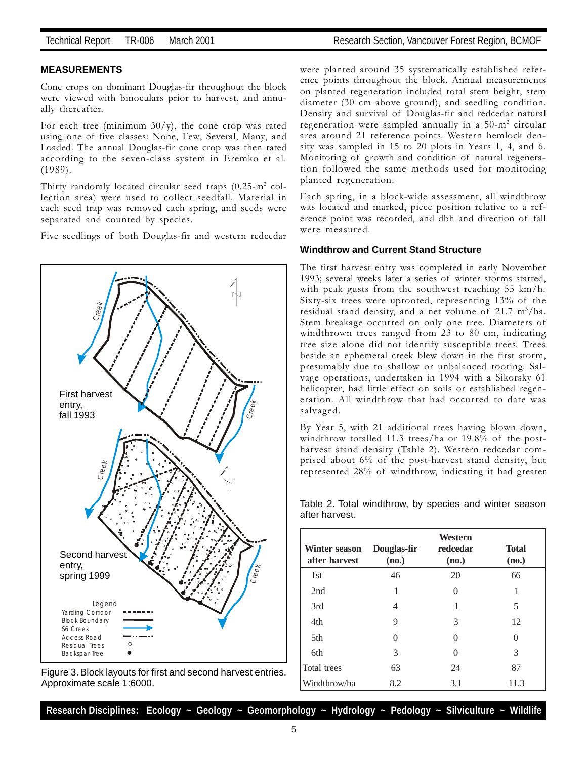#### **MEASUREMENTS**

Cone crops on dominant Douglas-fir throughout the block were viewed with binoculars prior to harvest, and annually thereafter.

For each tree (minimum  $30/y$ ), the cone crop was rated using one of five classes: None, Few, Several, Many, and Loaded. The annual Douglas-fir cone crop was then rated according to the seven-class system in Eremko et al. (1989).

Thirty randomly located circular seed traps  $(0.25\text{-m}^2 \text{ col}$ lection area) were used to collect seedfall. Material in each seed trap was removed each spring, and seeds were separated and counted by species.

Five seedlings of both Douglas-fir and western redcedar



Figure 3. Block layouts for first and second harvest entries. Approximate scale 1:6000.

were planted around 35 systematically established reference points throughout the block. Annual measurements on planted regeneration included total stem height, stem diameter (30 cm above ground), and seedling condition. Density and survival of Douglas-fir and redcedar natural regeneration were sampled annually in a 50-m2 circular area around 21 reference points. Western hemlock density was sampled in 15 to 20 plots in Years 1, 4, and 6. Monitoring of growth and condition of natural regeneration followed the same methods used for monitoring planted regeneration.

Each spring, in a block-wide assessment, all windthrow was located and marked, piece position relative to a reference point was recorded, and dbh and direction of fall were measured.

#### **Windthrow and Current Stand Structure**

The first harvest entry was completed in early November 1993; several weeks later a series of winter storms started, with peak gusts from the southwest reaching 55 km/h. Sixty-six trees were uprooted, representing 13% of the residual stand density, and a net volume of 21.7 m<sup>3</sup>/ha. Stem breakage occurred on only one tree. Diameters of windthrown trees ranged from 23 to 80 cm, indicating tree size alone did not identify susceptible trees. Trees beside an ephemeral creek blew down in the first storm, presumably due to shallow or unbalanced rooting. Salvage operations, undertaken in 1994 with a Sikorsky 61 helicopter, had little effect on soils or established regeneration. All windthrow that had occurred to date was salvaged.

By Year 5, with 21 additional trees having blown down, windthrow totalled 11.3 trees/ha or 19.8% of the postharvest stand density (Table 2). Western redcedar comprised about 6% of the post-harvest stand density, but represented 28% of windthrow, indicating it had greater

| Winter season<br>after harvest | Douglas-fir<br>(no.) | Western<br>redcedar<br>(no.) | <b>Total</b><br>(no.) |
|--------------------------------|----------------------|------------------------------|-----------------------|
| 1st                            | 46                   | 20                           | 66                    |
| 2nd                            | 1                    | 0                            | 1                     |
| 3rd                            | 4                    | 1                            | 5                     |
| 4th                            | 9                    | 3                            | 12                    |
| 5th                            | $\Omega$             | 0                            | 0                     |
| 6th                            | 3                    | $\Omega$                     | 3                     |
| Total trees                    | 63                   | 24                           | 87                    |
| Windthrow/ha                   | 8.2                  | 3.1                          | 11.3                  |

Table 2. Total windthrow, by species and winter season after harvest.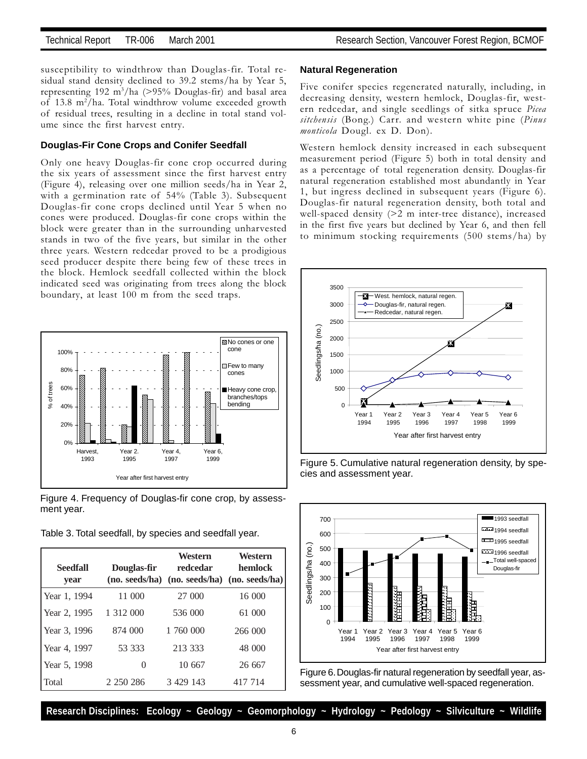susceptibility to windthrow than Douglas-fir. Total residual stand density declined to 39.2 stems/ha by Year 5, representing 192 m3 /ha (>95% Douglas-fir) and basal area of 13.8 m<sup>2</sup>/ha. Total windthrow volume exceeded growth of residual trees, resulting in a decline in total stand volume since the first harvest entry.

#### **Douglas-Fir Cone Crops and Conifer Seedfall**

Only one heavy Douglas-fir cone crop occurred during the six years of assessment since the first harvest entry (Figure 4), releasing over one million seeds/ha in Year 2, with a germination rate of 54% (Table 3). Subsequent Douglas-fir cone crops declined until Year 5 when no cones were produced. Douglas-fir cone crops within the block were greater than in the surrounding unharvested stands in two of the five years, but similar in the other three years. Western redcedar proved to be a prodigious seed producer despite there being few of these trees in the block. Hemlock seedfall collected within the block indicated seed was originating from trees along the block boundary, at least 100 m from the seed traps.



Figure 4. Frequency of Douglas-fir cone crop, by assessment year.

Table 3. Total seedfall, by species and seedfall year.

| <b>Seedfall</b><br>year | Douglas-fir   | Western<br>redcedar<br>(no. seeds/ha) (no. seeds/ha) (no. seeds/ha) | Western<br>hemlock |
|-------------------------|---------------|---------------------------------------------------------------------|--------------------|
| Year 1, 1994            | 11 000        | 27 000                                                              | 16 000             |
| Year 2, 1995            | 1 3 1 2 0 0 0 | 536 000                                                             | 61 000             |
| Year 3, 1996            | 874 000       | 1 760 000                                                           | 266 000            |
| Year 4, 1997            | 53 333        | 213 333                                                             | 48 000             |
| Year 5, 1998            | 0             | 10 667                                                              | 26 667             |
| Total                   | 2 2 5 0 2 8 6 | 3 4 29 14 3                                                         | 417 714            |

#### **Natural Regeneration**

Five conifer species regenerated naturally, including, in decreasing density, western hemlock, Douglas-fir, western redcedar, and single seedlings of sitka spruce Picea sitchensis (Bong.) Carr. and western white pine (Pinus monticola Dougl. ex D. Don).

Western hemlock density increased in each subsequent measurement period (Figure 5) both in total density and as a percentage of total regeneration density. Douglas-fir natural regeneration established most abundantly in Year 1, but ingress declined in subsequent years (Figure 6). Douglas-fir natural regeneration density, both total and well-spaced density (>2 m inter-tree distance), increased in the first five years but declined by Year 6, and then fell to minimum stocking requirements (500 stems/ha) by



Figure 5. Cumulative natural regeneration density, by species and assessment year.



Figure 6. Douglas-fir natural regeneration by seedfall year, assessment year, and cumulative well-spaced regeneration.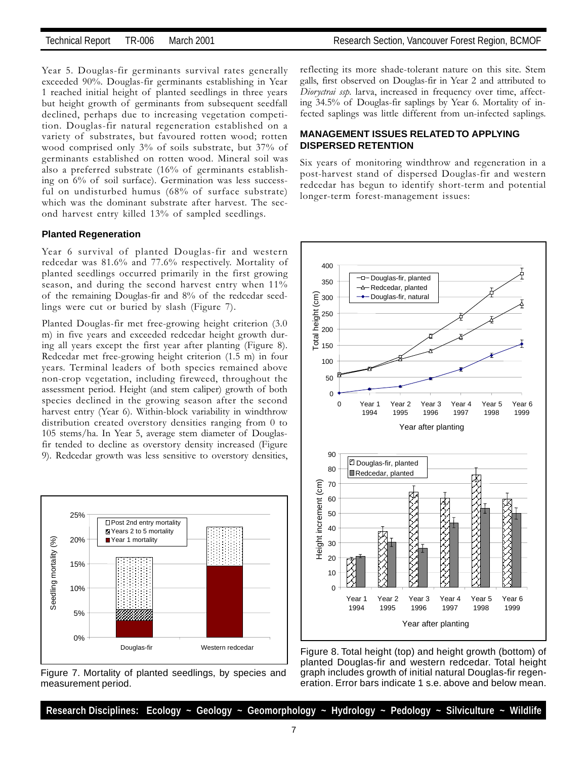Year 5. Douglas-fir germinants survival rates generally exceeded 90%. Douglas-fir germinants establishing in Year 1 reached initial height of planted seedlings in three years but height growth of germinants from subsequent seedfall declined, perhaps due to increasing vegetation competition. Douglas-fir natural regeneration established on a variety of substrates, but favoured rotten wood; rotten wood comprised only 3% of soils substrate, but 37% of germinants established on rotten wood. Mineral soil was also a preferred substrate (16% of germinants establishing on 6% of soil surface). Germination was less successful on undisturbed humus (68% of surface substrate) which was the dominant substrate after harvest. The second harvest entry killed 13% of sampled seedlings.

#### **Planted Regeneration**

Year 6 survival of planted Douglas-fir and western redcedar was 81.6% and 77.6% respectively. Mortality of planted seedlings occurred primarily in the first growing season, and during the second harvest entry when 11% of the remaining Douglas-fir and 8% of the redcedar seedlings were cut or buried by slash (Figure 7).

Planted Douglas-fir met free-growing height criterion (3.0 m) in five years and exceeded redcedar height growth during all years except the first year after planting (Figure 8). Redcedar met free-growing height criterion (1.5 m) in four years. Terminal leaders of both species remained above non-crop vegetation, including fireweed, throughout the assessment period. Height (and stem caliper) growth of both species declined in the growing season after the second harvest entry (Year 6). Within-block variability in windthrow distribution created overstory densities ranging from 0 to 105 stems/ha. In Year 5, average stem diameter of Douglasfir tended to decline as overstory density increased (Figure 9). Redcedar growth was less sensitive to overstory densities,



Figure 7. Mortality of planted seedlings, by species and measurement period.

reflecting its more shade-tolerant nature on this site. Stem galls, first observed on Douglas-fir in Year 2 and attributed to Dioryctrai ssp. larva, increased in frequency over time, affecting 34.5% of Douglas-fir saplings by Year 6. Mortality of infected saplings was little different from un-infected saplings.

#### **MANAGEMENT ISSUES RELATED TO APPLYING DISPERSED RETENTION**

Six years of monitoring windthrow and regeneration in a post-harvest stand of dispersed Douglas-fir and western redcedar has begun to identify short-term and potential longer-term forest-management issues:



Figure 8. Total height (top) and height growth (bottom) of planted Douglas-fir and western redcedar. Total height graph includes growth of initial natural Douglas-fir regeneration. Error bars indicate 1 s.e. above and below mean.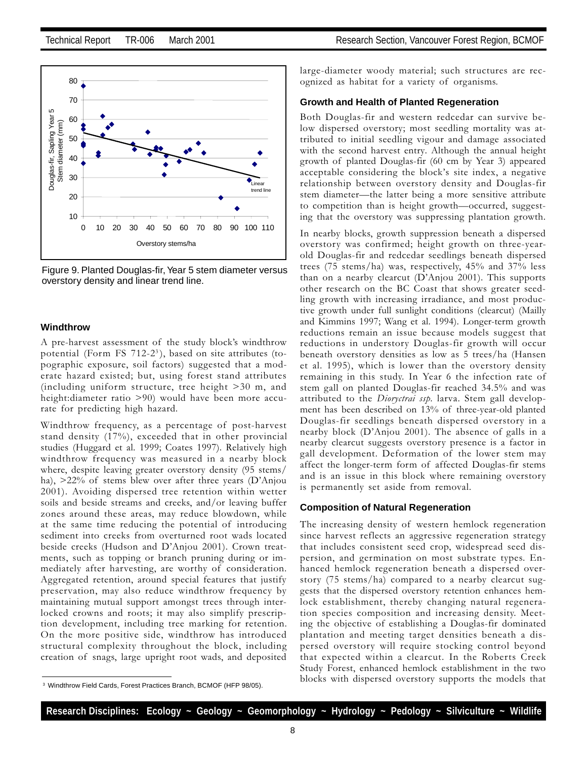

Figure 9. Planted Douglas-fir, Year 5 stem diameter versus overstory density and linear trend line.

#### **Windthrow**

A pre-harvest assessment of the study block's windthrow potential (Form FS 712-2<sup>3</sup>), based on site attributes (topographic exposure, soil factors) suggested that a moderate hazard existed; but, using forest stand attributes (including uniform structure, tree height >30 m, and height:diameter ratio >90) would have been more accurate for predicting high hazard.

Windthrow frequency, as a percentage of post-harvest stand density (17%), exceeded that in other provincial studies (Huggard et al. 1999; Coates 1997). Relatively high windthrow frequency was measured in a nearby block where, despite leaving greater overstory density (95 stems/ ha),  $>22\%$  of stems blew over after three years (D'Anjou 2001). Avoiding dispersed tree retention within wetter soils and beside streams and creeks, and/or leaving buffer zones around these areas, may reduce blowdown, while at the same time reducing the potential of introducing sediment into creeks from overturned root wads located beside creeks (Hudson and D'Anjou 2001). Crown treatments, such as topping or branch pruning during or immediately after harvesting, are worthy of consideration. Aggregated retention, around special features that justify preservation, may also reduce windthrow frequency by maintaining mutual support amongst trees through interlocked crowns and roots; it may also simplify prescription development, including tree marking for retention. On the more positive side, windthrow has introduced structural complexity throughout the block, including creation of snags, large upright root wads, and deposited large-diameter woody material; such structures are recognized as habitat for a variety of organisms.

#### **Growth and Health of Planted Regeneration**

Both Douglas-fir and western redcedar can survive below dispersed overstory; most seedling mortality was attributed to initial seedling vigour and damage associated with the second harvest entry. Although the annual height growth of planted Douglas-fir (60 cm by Year 3) appeared acceptable considering the block's site index, a negative relationship between overstory density and Douglas-fir stem diameter—the latter being a more sensitive attribute to competition than is height growth-occurred, suggesting that the overstory was suppressing plantation growth.

In nearby blocks, growth suppression beneath a dispersed overstory was confirmed; height growth on three-yearold Douglas-fir and redcedar seedlings beneath dispersed trees (75 stems/ha) was, respectively, 45% and 37% less than on a nearby clearcut  $(D'Anjou 2001)$ . This supports other research on the BC Coast that shows greater seedling growth with increasing irradiance, and most productive growth under full sunlight conditions (clearcut) (Mailly and Kimmins 1997; Wang et al. 1994). Longer-term growth reductions remain an issue because models suggest that reductions in understory Douglas-fir growth will occur beneath overstory densities as low as 5 trees/ha (Hansen et al. 1995), which is lower than the overstory density remaining in this study. In Year 6 the infection rate of stem gall on planted Douglas-fir reached 34.5% and was attributed to the *Dioryctrai ssp*. larva. Stem gall development has been described on 13% of three-year-old planted Douglas-fir seedlings beneath dispersed overstory in a nearby block  $(D'Anjou 2001)$ . The absence of galls in a nearby clearcut suggests overstory presence is a factor in gall development. Deformation of the lower stem may affect the longer-term form of affected Douglas-fir stems and is an issue in this block where remaining overstory is permanently set aside from removal.

#### **Composition of Natural Regeneration**

The increasing density of western hemlock regeneration since harvest reflects an aggressive regeneration strategy that includes consistent seed crop, widespread seed dispersion, and germination on most substrate types. Enhanced hemlock regeneration beneath a dispersed overstory (75 stems/ha) compared to a nearby clearcut suggests that the dispersed overstory retention enhances hemlock establishment, thereby changing natural regeneration species composition and increasing density. Meeting the objective of establishing a Douglas-fir dominated plantation and meeting target densities beneath a dispersed overstory will require stocking control beyond that expected within a clearcut. In the Roberts Creek Study Forest, enhanced hemlock establishment in the two blocks with dispersed overstory supports the models that

<sup>3</sup> Windthrow Field Cards, Forest Practices Branch, BCMOF (HFP 98/05).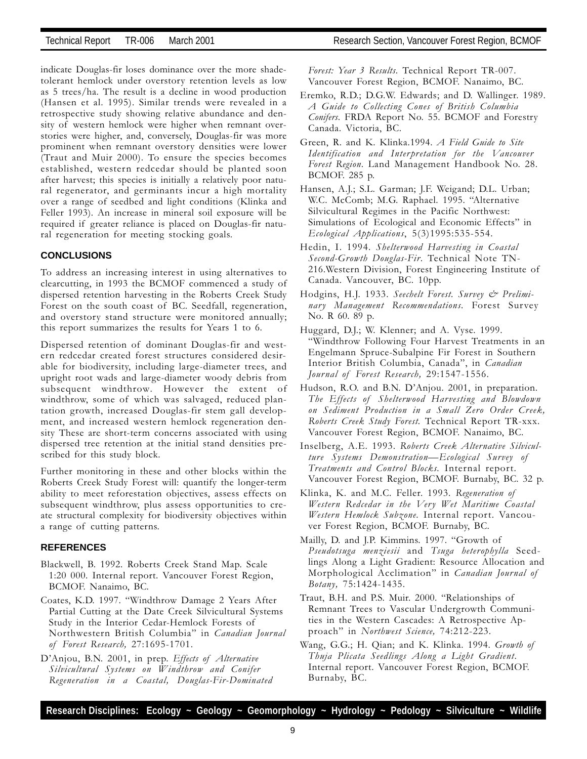indicate Douglas-fir loses dominance over the more shadetolerant hemlock under overstory retention levels as low as 5 trees/ha. The result is a decline in wood production (Hansen et al. 1995). Similar trends were revealed in a retrospective study showing relative abundance and density of western hemlock were higher when remnant overstories were higher, and, conversely, Douglas-fir was more prominent when remnant overstory densities were lower (Traut and Muir 2000). To ensure the species becomes established, western redcedar should be planted soon after harvest; this species is initially a relatively poor natural regenerator, and germinants incur a high mortality over a range of seedbed and light conditions (Klinka and Feller 1993). An increase in mineral soil exposure will be required if greater reliance is placed on Douglas-fir natural regeneration for meeting stocking goals.

#### **CONCLUSIONS**

To address an increasing interest in using alternatives to clearcutting, in 1993 the BCMOF commenced a study of dispersed retention harvesting in the Roberts Creek Study Forest on the south coast of BC. Seedfall, regeneration, and overstory stand structure were monitored annually; this report summarizes the results for Years 1 to 6.

Dispersed retention of dominant Douglas-fir and western redcedar created forest structures considered desirable for biodiversity, including large-diameter trees, and upright root wads and large-diameter woody debris from subsequent windthrow. However the extent of windthrow, some of which was salvaged, reduced plantation growth, increased Douglas-fir stem gall development, and increased western hemlock regeneration density These are short-term concerns associated with using dispersed tree retention at the initial stand densities prescribed for this study block.

Further monitoring in these and other blocks within the Roberts Creek Study Forest will: quantify the longer-term ability to meet reforestation objectives, assess effects on subsequent windthrow, plus assess opportunities to create structural complexity for biodiversity objectives within a range of cutting patterns.

#### **REFERENCES**

- Blackwell, B. 1992. Roberts Creek Stand Map. Scale 1:20 000. Internal report. Vancouver Forest Region, BCMOF. Nanaimo, BC.
- Coates, K.D. 1997. Windthrow Damage 2 Years After Partial Cutting at the Date Creek Silvicultural Systems Study in the Interior Cedar-Hemlock Forests of Northwestern British Columbia" in Canadian Journal of Forest Research, 27:1695-1701.
- D'Anjou, B.N. 2001, in prep. Effects of Alternative Silvicultural Systems on Windthrow and Conifer Regeneration in a Coastal, Douglas-Fir-Dominated

Forest: Year 3 Results. Technical Report TR-007. Vancouver Forest Region, BCMOF. Nanaimo, BC.

- Eremko, R.D.; D.G.W. Edwards; and D. Wallinger. 1989. A Guide to Collecting Cones of British Columbia Conifers. FRDA Report No. 55. BCMOF and Forestry Canada. Victoria, BC.
- Green, R. and K. Klinka.1994. A Field Guide to Site Identification and Interpretation for the Vancouver Forest Region. Land Management Handbook No. 28. BCMOF. 285 p.
- Hansen, A.J.; S.L. Garman; J.F. Weigand; D.L. Urban; W.C. McComb; M.G. Raphael. 1995. "Alternative Silvicultural Regimes in the Pacific Northwest: Simulations of Ecological and Economic Effects" in Ecological Applications, 5(3)1995:535-554.
- Hedin, I. 1994. Shelterwood Harvesting in Coastal Second-Growth Douglas-Fir. Technical Note TN-216.Western Division, Forest Engineering Institute of Canada. Vancouver, BC. 10pp.
- Hodgins, H.J. 1933. Seechelt Forest. Survey & Preliminary Management Recommendations. Forest Survey No. R 60. 89 p.
- Huggard, D.J.; W. Klenner; and A. Vyse. 1999. Windthrow Following Four Harvest Treatments in an Engelmann Spruce-Subalpine Fir Forest in Southern Interior British Columbia, Canada", in Canadian Journal of Forest Research, 29:1547-1556.
- Hudson, R.O. and B.N. D'Anjou. 2001, in preparation. The Effects of Shelterwood Harvesting and Blowdown on Sediment Production in a Small Zero Order Creek, Roberts Creek Study Forest. Technical Report TR-xxx. Vancouver Forest Region, BCMOF. Nanaimo, BC.
- Inselberg, A.E. 1993. Roberts Creek Alternative Silviculture Systems Demonstration—Ecological Survey of Treatments and Control Blocks. Internal report. Vancouver Forest Region, BCMOF. Burnaby, BC. 32 p.
- Klinka, K. and M.C. Feller. 1993. Regeneration of Western Redcedar in the Very Wet Maritime Coastal Western Hemlock Subzone. Internal report. Vancouver Forest Region, BCMOF. Burnaby, BC.
- Mailly, D. and J.P. Kimmins. 1997. "Growth of Pseudotsuga menziesii and Tsuga heterophylla Seedlings Along a Light Gradient: Resource Allocation and Morphological Acclimation" in Canadian Journal of Botany, 75:1424-1435.
- Traut, B.H. and P.S. Muir. 2000. "Relationships of Remnant Trees to Vascular Undergrowth Communities in the Western Cascades: A Retrospective Approach" in Northwest Science, 74:212-223.
- Wang, G.G.; H. Qian; and K. Klinka. 1994. Growth of Thuja Plicata Seedlings Along a Light Gradient. Internal report. Vancouver Forest Region, BCMOF. Burnaby, BC.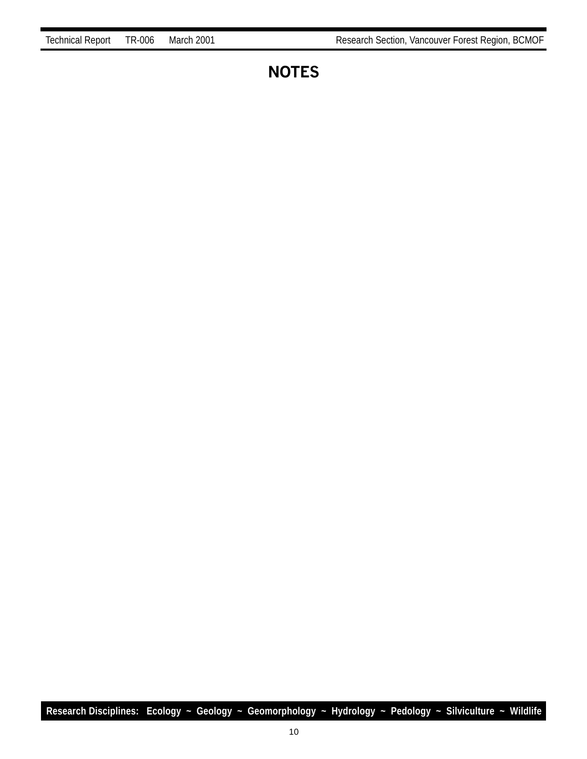## **NOTES**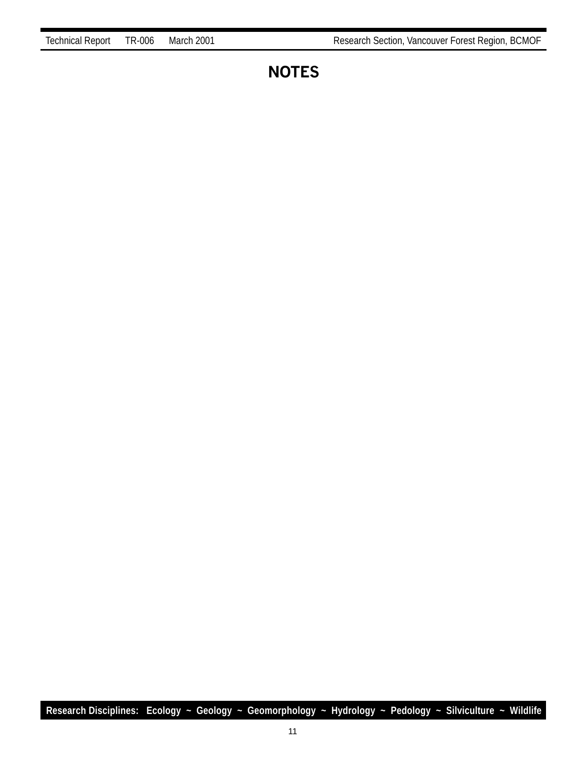### **NOTES**